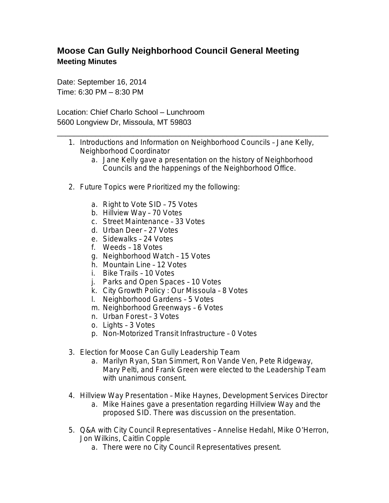## **Moose Can Gully Neighborhood Council General Meeting Meeting Minutes**

Date: September 16, 2014 Time: 6:30 PM – 8:30 PM

Location: Chief Charlo School – Lunchroom 5600 Longview Dr, Missoula, MT 59803

1. Introductions and Information on Neighborhood Councils – Jane Kelly, Neighborhood Coordinator

\_\_\_\_\_\_\_\_\_\_\_\_\_\_\_\_\_\_\_\_\_\_\_\_\_\_\_\_\_\_\_\_\_\_\_\_\_\_\_\_\_\_\_\_\_\_\_\_\_\_\_\_\_\_\_\_\_\_\_\_\_\_\_\_

- a. Jane Kelly gave a presentation on the history of Neighborhood Councils and the happenings of the Neighborhood Office.
- 2. Future Topics were Prioritized my the following:
	- a. Right to Vote SID 75 Votes
	- b. Hillview Way 70 Votes
	- c. Street Maintenance 33 Votes
	- d. Urban Deer 27 Votes
	- e. Sidewalks 24 Votes
	- f. Weeds 18 Votes
	- g. Neighborhood Watch 15 Votes
	- h. Mountain Line 12 Votes
	- i. Bike Trails 10 Votes
	- j. Parks and Open Spaces 10 Votes
	- k. City Growth Policy : Our Missoula 8 Votes
	- l. Neighborhood Gardens 5 Votes
	- m. Neighborhood Greenways 6 Votes
	- n. Urban Forest 3 Votes
	- o. Lights 3 Votes
	- p. Non-Motorized Transit Infrastructure 0 Votes
- 3. Election for Moose Can Gully Leadership Team
	- a. Marilyn Ryan, Stan Simmert, Ron Vande Ven, Pete Ridgeway, Mary Pelti, and Frank Green were elected to the Leadership Team with unanimous consent.
- 4. Hillview Way Presentation Mike Haynes, Development Services Director a. Mike Haines gave a presentation regarding Hillview Way and the proposed SID. There was discussion on the presentation.
- 5. Q&A with City Council Representatives Annelise Hedahl, Mike O'Herron, Jon Wilkins, Caitlin Copple
	- a. There were no City Council Representatives present.